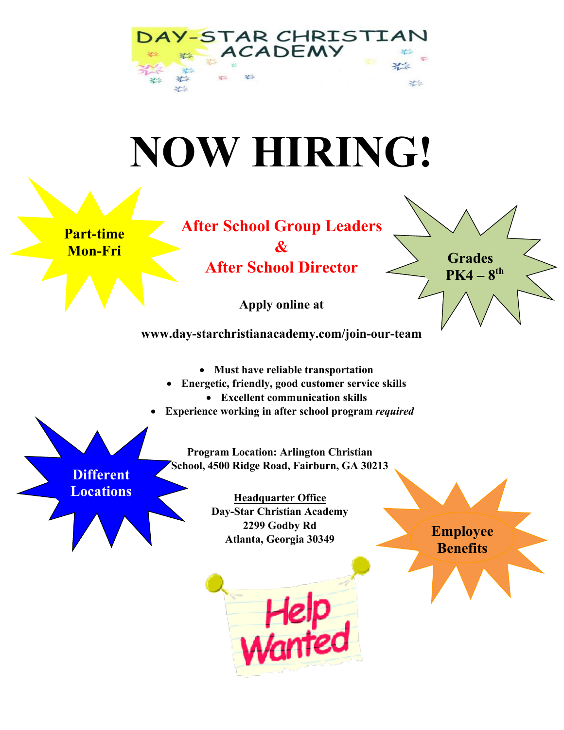

# **NOW HIRING!**

**Part-time Mon-Fri**

**After School Group Leaders & After School Director**

**Apply online at**

**[www.day-starchristianacademy.com/join-our-team](http://www.day-starchristianacademy.com/join-our-team)**

- **Must have reliable transportation**
- **Energetic, friendly, good customer service skills**
	- **Excellent communication skills**
- **Experience working in after school program** *required*

**Program Location: Arlington Christian School, 4500 Ridge Road, Fairburn, GA 30213**

**Different Locations**

**Headquarter Office Day-Star Christian Academy 2299 Godby Rd Atlanta, Georgia 30349** 



**Employee Benefits**

**Grades** 

 $PK4 - 8$ <sup>th</sup>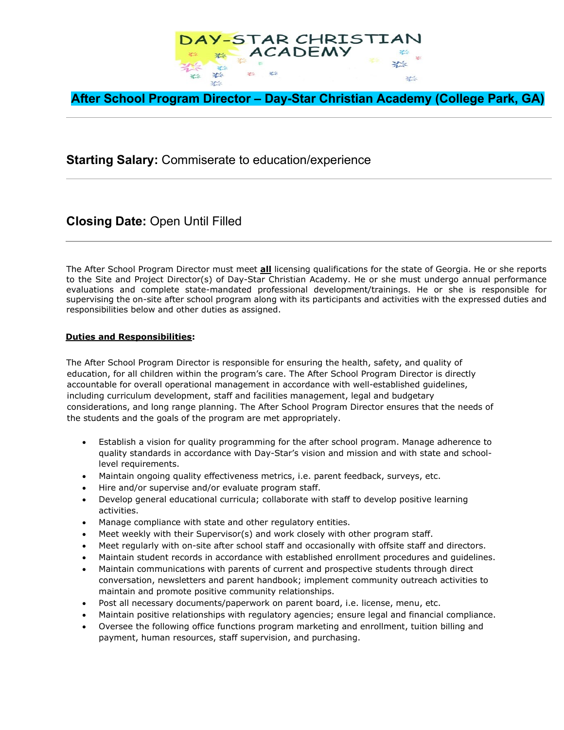

**After School Program Director – Day-Star Christian Academy (College Park, GA)**

## **Starting Salary:** Commiserate to education/experience

**Closing Date:** Open Until Filled

The After School Program Director must meet **all** licensing qualifications for the state of Georgia. He or she reports to the Site and Project Director(s) of Day-Star Christian Academy. He or she must undergo annual performance evaluations and complete state-mandated professional development/trainings. He or she is responsible for supervising the on-site after school program along with its participants and activities with the expressed duties and responsibilities below and other duties as assigned.

### **Duties and Responsibilities:**

The After School Program Director is responsible for ensuring the health, safety, and quality of education, for all children within the program's care. The After School Program Director is directly accountable for overall operational management in accordance with well-established guidelines, including curriculum development, staff and facilities management, legal and budgetary considerations, and long range planning. The After School Program Director ensures that the needs of the students and the goals of the program are met appropriately.

- Establish a vision for quality programming for the after school program. Manage adherence to quality standards in accordance with Day-Star's vision and mission and with state and schoollevel requirements.
- Maintain ongoing quality effectiveness metrics, i.e. parent feedback, surveys, etc.
- Hire and/or supervise and/or evaluate program staff.
- Develop general educational curricula; collaborate with staff to develop positive learning activities.
- Manage compliance with state and other regulatory entities.
- Meet weekly with their Supervisor(s) and work closely with other program staff.
- Meet regularly with on-site after school staff and occasionally with offsite staff and directors.
- Maintain student records in accordance with established enrollment procedures and guidelines.
- Maintain communications with parents of current and prospective students through direct conversation, newsletters and parent handbook; implement community outreach activities to maintain and promote positive community relationships.
- Post all necessary documents/paperwork on parent board, i.e. license, menu, etc.
- Maintain positive relationships with regulatory agencies; ensure legal and financial compliance.
- Oversee the following office functions program marketing and enrollment, tuition billing and payment, human resources, staff supervision, and purchasing.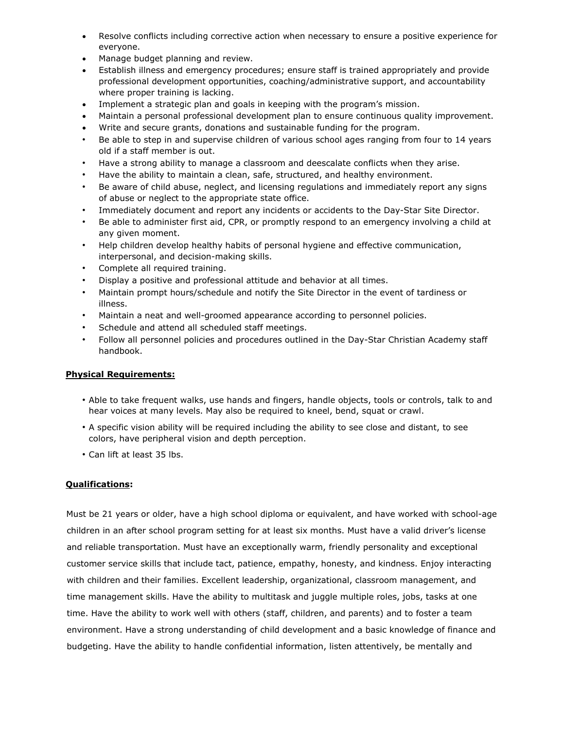- Resolve conflicts including corrective action when necessary to ensure a positive experience for everyone.
- Manage budget planning and review.
- Establish illness and emergency procedures; ensure staff is trained appropriately and provide professional development opportunities, coaching/administrative support, and accountability where proper training is lacking.
- Implement a strategic plan and goals in keeping with the program's mission.
- Maintain a personal professional development plan to ensure continuous quality improvement.
- Write and secure grants, donations and sustainable funding for the program.
- Be able to step in and supervise children of various school ages ranging from four to 14 years old if a staff member is out.
- Have a strong ability to manage a classroom and deescalate conflicts when they arise.
- Have the ability to maintain a clean, safe, structured, and healthy environment.
- Be aware of child abuse, neglect, and licensing regulations and immediately report any signs of abuse or neglect to the appropriate state office.
- Immediately document and report any incidents or accidents to the Day-Star Site Director.
- Be able to administer first aid, CPR, or promptly respond to an emergency involving a child at any given moment.
- Help children develop healthy habits of personal hygiene and effective communication, interpersonal, and decision-making skills.
- Complete all required training.
- Display a positive and professional attitude and behavior at all times.
- Maintain prompt hours/schedule and notify the Site Director in the event of tardiness or illness.
- Maintain a neat and well-groomed appearance according to personnel policies.
- Schedule and attend all scheduled staff meetings.
- Follow all personnel policies and procedures outlined in the Day-Star Christian Academy staff handbook.

#### **Physical Requirements:**

- Able to take frequent walks, use hands and fingers, handle objects, tools or controls, talk to and hear voices at many levels. May also be required to kneel, bend, squat or crawl.
- A specific vision ability will be required including the ability to see close and distant, to see colors, have peripheral vision and depth perception.
- Can lift at least 35 lbs.

#### **Qualifications:**

Must be 21 years or older, have a high school diploma or equivalent, and have worked with school-age children in an after school program setting for at least six months. Must have a valid driver's license and reliable transportation. Must have an exceptionally warm, friendly personality and exceptional customer service skills that include tact, patience, empathy, honesty, and kindness. Enjoy interacting with children and their families. Excellent leadership, organizational, classroom management, and time management skills. Have the ability to multitask and juggle multiple roles, jobs, tasks at one time. Have the ability to work well with others (staff, children, and parents) and to foster a team environment. Have a strong understanding of child development and a basic knowledge of finance and budgeting. Have the ability to handle confidential information, listen attentively, be mentally and